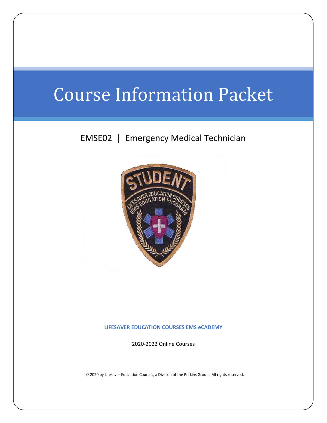# Course Information Packet

## EMSE02 | Emergency Medical Technician



**LIFESAVER EDUCATION COURSES EMS eCADEMY**

2020-2022 Online Courses

© 2020 by Lifesaver Education Courses, a Division of the Perkins Group. All rights reserved.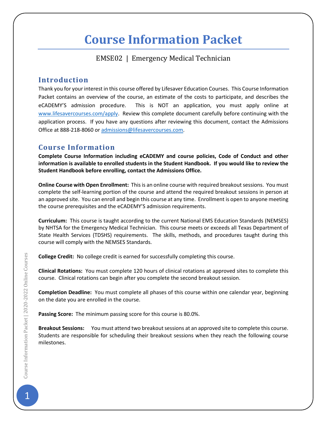## **Course Information Packet**

## EMSE02 | Emergency Medical Technician

## **Introduction**

Thank you for your interest in this course offered by Lifesaver Education Courses. This Course Information Packet contains an overview of the course, an estimate of the costs to participate, and describes the eCADEMY'S admission procedure. This is NOT an application, you must apply online at [www.lifesavercourses.com/apply.](http://www.lifesavercourses.com/apply) Review this complete document carefully before continuing with the application process. If you have any questions after reviewing this document, contact the Admissions Office at 888-218-8060 o[r admissions@lifesavercourses.com.](mailto:admissions@lifesavercourses.com)

## **Course Information**

**Complete Course Information including eCADEMY and course policies, Code of Conduct and other information is available to enrolled students in the Student Handbook. If you would like to review the Student Handbook before enrolling, contact the Admissions Office.**

**Online Course with Open Enrollment:** This is an online course with required breakout sessions. You must complete the self-learning portion of the course and attend the required breakout sessions in person at an approved site. You can enroll and begin this course at any time. Enrollment is open to anyone meeting the course prerequisites and the eCADEMY'S admission requirements.

**Curriculum:** This course is taught according to the current National EMS Education Standards (NEMSES) by NHTSA for the Emergency Medical Technician. This course meets or exceeds all Texas Department of State Health Services (TDSHS) requirements. The skills, methods, and procedures taught during this course will comply with the NEMSES Standards.

**College Credit:** No college credit is earned for successfully completing this course.

**Clinical Rotations:** You must complete 120 hours of clinical rotations at approved sites to complete this course. Clinical rotations can begin after you complete the second breakout session.

**Completion Deadline:** You must complete all phases of this course within one calendar year, beginning on the date you are enrolled in the course.

**Passing Score:** The minimum passing score for this course is 80.0%.

**Breakout Sessions:** You must attend two breakout sessions at an approved site to complete this course. Students are responsible for scheduling their breakout sessions when they reach the following course milestones.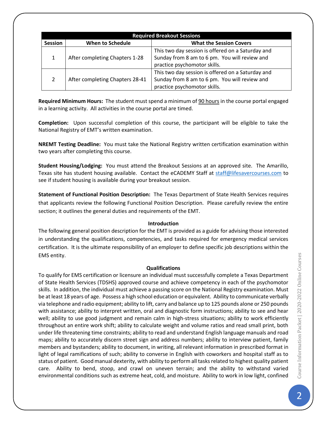| <b>Required Breakout Sessions</b> |                                 |                                                                                                                                    |  |  |  |  |
|-----------------------------------|---------------------------------|------------------------------------------------------------------------------------------------------------------------------------|--|--|--|--|
| <b>Session</b>                    | <b>When to Schedule</b>         | <b>What the Session Covers</b>                                                                                                     |  |  |  |  |
| $\mathbf{1}$                      | After completing Chapters 1-28  | This two day session is offered on a Saturday and<br>Sunday from 8 am to 6 pm. You will review and<br>practice psychomotor skills. |  |  |  |  |
| $\mathcal{L}$                     | After completing Chapters 28-41 | This two day session is offered on a Saturday and<br>Sunday from 8 am to 6 pm. You will review and<br>practice psychomotor skills. |  |  |  |  |

**Required Minimum Hours:** The student must spend a minimum of 90 hours in the course portal engaged in a learning activity. All activities in the course portal are timed.

**Completion:** Upon successful completion of this course, the participant will be eligible to take the National Registry of EMT's written examination.

**NREMT Testing Deadline:** You must take the National Registry written certification examination within two years after completing this course.

**Student Housing/Lodging:** You must attend the Breakout Sessions at an approved site. The Amarillo, Texas site has student housing available. Contact the eCADEMY Staff at [staff@lifesavercourses.com](mailto:staff@lifesavercourses.com) to see if student housing is available during your breakout session.

**Statement of Functional Position Description:** The Texas Department of State Health Services requires that applicants review the following Functional Position Description. Please carefully review the entire section; it outlines the general duties and requirements of the EMT.

#### **Introduction**

The following general position description for the EMT is provided as a guide for advising those interested in understanding the qualifications, competencies, and tasks required for emergency medical services certification. It is the ultimate responsibility of an employer to define specific job descriptions within the EMS entity.

#### **Qualifications**

To qualify for EMS certification or licensure an individual must successfully complete a Texas Department of State Health Services (TDSHS) approved course and achieve competency in each of the psychomotor skills. In addition, the individual must achieve a passing score on the National Registry examination. Must be at least 18 years of age. Possess a high school education or equivalent. Ability to communicate verbally via telephone and radio equipment; ability to lift, carry and balance up to 125 pounds alone or 250 pounds with assistance; ability to interpret written, oral and diagnostic form instructions; ability to see and hear well; ability to use good judgment and remain calm in high-stress situations; ability to work efficiently throughout an entire work shift; ability to calculate weight and volume ratios and read small print, both under life threatening time constraints; ability to read and understand English language manuals and road maps; ability to accurately discern street sign and address numbers; ability to interview patient, family members and bystanders; ability to document, in writing, all relevant information in prescribed format in light of legal ramifications of such; ability to converse in English with coworkers and hospital staff as to status of patient. Good manual dexterity, with ability to perform all tasks related to highest quality patient care. Ability to bend, stoop, and crawl on uneven terrain; and the ability to withstand varied environmental conditions such as extreme heat, cold, and moisture. Ability to work in low light, confined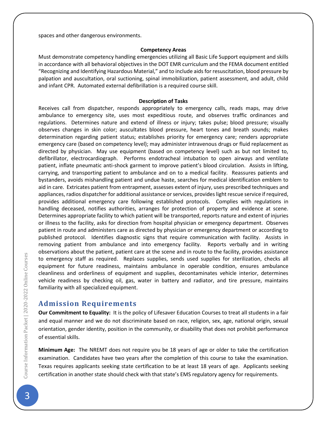spaces and other dangerous environments.

#### **Competency Areas**

Must demonstrate competency handling emergencies utilizing all Basic Life Support equipment and skills in accordance with all behavioral objectives in the DOT EMR curriculum and the FEMA document entitled "Recognizing and Identifying Hazardous Material," and to include aids for resuscitation, blood pressure by palpation and auscultation, oral suctioning, spinal immobilization, patient assessment, and adult, child and infant CPR. Automated external defibrillation is a required course skill.

#### **Description of Tasks**

Receives call from dispatcher, responds appropriately to emergency calls, reads maps, may drive ambulance to emergency site, uses most expeditious route, and observes traffic ordinances and regulations. Determines nature and extend of illness or injury; takes pulse; blood pressure; visually observes changes in skin color; auscultates blood pressure, heart tones and breath sounds; makes determination regarding patient status; establishes priority for emergency care; renders appropriate emergency care (based on competency level); may administer intravenous drugs or fluid replacement as directed by physician. May use equipment (based on competency level) such as but not limited to, defibrillator, electrocardiograph. Performs endotracheal intubation to open airways and ventilate patient, inflate pneumatic anti-shock garment to improve patient's blood circulation. Assists in lifting, carrying, and transporting patient to ambulance and on to a medical facility. Reassures patients and bystanders, avoids mishandling patient and undue haste, searches for medical identification emblem to aid in care. Extricates patient from entrapment, assesses extent of injury, uses prescribed techniques and appliances, radios dispatcher for additional assistance or services, provides light rescue service if required, provides additional emergency care following established protocols. Complies with regulations in handling deceased, notifies authorities, arranges for protection of property and evidence at scene. Determines appropriate facility to which patient will be transported, reports nature and extent of injuries or illness to the facility, asks for direction from hospital physician or emergency department. Observes patient in route and administers care as directed by physician or emergency department or according to published protocol. Identifies diagnostic signs that require communication with facility. Assists in removing patient from ambulance and into emergency facility. Reports verbally and in writing observations about the patient, patient care at the scene and in route to the facility, provides assistance to emergency staff as required. Replaces supplies, sends used supplies for sterilization, checks all equipment for future readiness, maintains ambulance in operable condition, ensures ambulance cleanliness and orderliness of equipment and supplies, decontaminates vehicle interior, determines vehicle readiness by checking oil, gas, water in battery and radiator, and tire pressure, maintains familiarity with all specialized equipment.

#### **Admission Requirements**

**Our Commitment to Equality:** It is the policy of Lifesaver Education Courses to treat all students in a fair and equal manner and we do not discriminate based on race, religion, sex, age, national origin, sexual orientation, gender identity, position in the community, or disability that does not prohibit performance of essential skills.

**Minimum Age:** The NREMT does not require you be 18 years of age or older to take the certification examination. Candidates have two years after the completion of this course to take the examination. Texas requires applicants seeking state certification to be at least 18 years of age. Applicants seeking certification in another state should check with that state's EMS regulatory agency for requirements.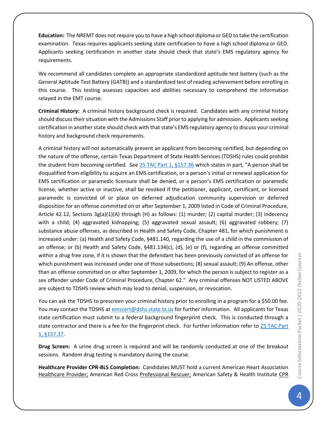**Education:** The NREMT does not require you to have a high school diploma or GED to take the certification examination. Texas requires applicants seeking state certification to have a high school diploma or GED. Applicants seeking certification in another state should check that state's EMS regulatory agency for requirements.

We recommend all candidates complete an appropriate standardized aptitude test battery (such as the General Aptitude Test Battery (GATB)) and a standardized test of reading achievement before enrolling in this course. This testing assesses capacities and abilities necessary to comprehend the information relayed in the EMT course.

**Criminal History:** A criminal history background check is required. Candidates with any criminal history should discuss their situation with the Admissions Staff prior to applying for admission. Applicants seeking certification in another state should check with that state's EMS regulatory agency to discuss your criminal history and background check requirements.

A criminal history will not automatically prevent an applicant from becoming certified, but depending on the nature of the offense, certain Texas Department of State Health Services (TDSHS) rules could prohibit the student from becoming certified. See [25 TAC Part 1, §157.36](http://info.sos.state.tx.us/pls/pub/readtac$ext.TacPage?sl=R&app=9&p_dir=&p_rloc=&p_tloc=&p_ploc=&pg=1&p_tac=&ti=25&pt=1&ch=157&rl=36) which states in part, "A person shall be disqualified from eligibility to acquire an EMS certification, or a person's initial or renewal application for EMS certification or paramedic licensure shall be denied, or a person's EMS certification or paramedic license, whether active or inactive, shall be revoked if the petitioner, applicant, certificant, or licensed paramedic is convicted of or place on deferred adjudication community supervision or deferred disposition for an offense committed on or after September 1, 2009 listed in Code of Criminal Procedure, Article 42.12, Sections 3g(a)(1)(A) through (H) as follows: (1) murder; (2) capital murder; (3) indecency with a child; (4) aggravated kidnapping; (5) aggravated sexual assault; (6) aggravated robbery; (7) substance abuse offenses, as described in Health and Safety Code, Chapter 481, for which punishment is increased under: (a) Health and Safety Code, §481.140, regarding the use of a child in the commission of an offense; or (b) Health and Safety Code, §481.134(c), (d), (e) or (f), regarding an offense committed within a drug free zone, if it is shown that the defendant has been previously convicted of an offense for which punishment was increased under one of those subsections; (8) sexual assault; (9) An offense, other than an offense committed on or after September 1, 2009, for which the person is subject to register as a sex offender under Code of Criminal Procedure, Chapter 62." Any criminal offenses NOT LISTED ABOVE are subject to TDSHS review which may lead to denial, suspension, or revocation.

You can ask the TDSHS to prescreen your criminal history prior to enrolling in a program for a \$50.00 fee. You may contact the TDSHS at [emscert@dshs.state.tx.us](file:///C:/Users/P/Documents/TPGOC/LEC/EMS%20Education%20Program/EMS%20Academy/EMT-B%20Course/emscert@dshs.state.tx.us) for further information. All applicants for Texas state certification must submit to a federal background fingerprint check. This is conducted through a state contractor and there is a fee for the fingerprint check. For further information refer to 25 TAC Part [1, §157.37.](http://info.sos.state.tx.us/pls/pub/readtac$ext.TacPage?sl=R&app=9&p_dir=&p_rloc=&p_tloc=&p_ploc=&pg=1&p_tac=&ti=25&pt=1&ch=157&rl=37)

**Drug Screen:** A urine drug screen is required and will be randomly conducted at one of the breakout sessions. Random drug testing is mandatory during the course.

**Healthcare Provider CPR-BLS Completion:** Candidates MUST hold a current American Heart Association Healthcare Provider; American Red Cross Professional Rescuer; American Safety & Health Institute CPR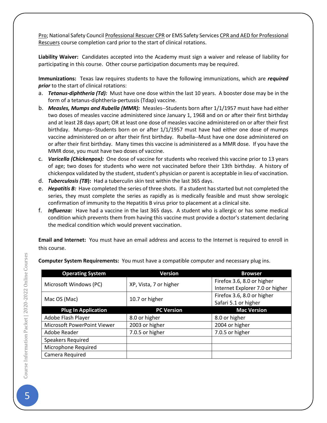Pro; National Safety Council Professional Rescuer CPR or EMS Safety Services CPR and AED for Professional Rescuers course completion card prior to the start of clinical rotations.

**Liability Waiver:** Candidates accepted into the Academy must sign a waiver and release of liability for participating in this course. Other course participation documents may be required.

**Immunizations:** Texas law requires students to have the following immunizations, which are *required prior* to the start of clinical rotations:

- a. *Tetanus-diphtheria (Td):* Must have one dose within the last 10 years. A booster dose may be in the form of a tetanus-diphtheria-pertussis (Tdap) vaccine.
- b. *Measles, Mumps and Rubella (MMR):* Measles--Students born after 1/1/1957 must have had either two doses of measles vaccine administered since January 1, 1968 and on or after their first birthday and at least 28 days apart; OR at least one dose of measles vaccine administered on or after their first birthday. Mumps--Students born on or after 1/1/1957 must have had either one dose of mumps vaccine administered on or after their first birthday. Rubella--Must have one dose administered on or after their first birthday. Many times this vaccine is administered as a MMR dose. If you have the MMR dose, you must have two doses of vaccine.
- c. *Varicella (Chickenpox):* One dose of vaccine for students who received this vaccine prior to 13 years of age; two doses for students who were not vaccinated before their 13th birthday. A history of chickenpox validated by the student, student's physician or parent is acceptable in lieu of vaccination.
- d. *Tuberculosis (TB***):** Had a tuberculin skin test within the last 365 days.
- e. *Hepatitis B:* Have completed the series of three shots. If a student has started but not completed the series, they must complete the series as rapidly as is medically feasible and must show serologic confirmation of immunity to the Hepatitis B virus prior to placement at a clinical site.
- f. *Influenza:* Have had a vaccine in the last 365 days. A student who is allergic or has some medical condition which prevents them from having this vaccine must provide a doctor's statement declaring the medical condition which would prevent vaccination.

**Email and Internet:** You must have an email address and access to the Internet is required to enroll in this course.

| <b>Operating System</b>     | <b>Version</b>         | <b>Browser</b>                  |
|-----------------------------|------------------------|---------------------------------|
| Microsoft Windows (PC)      | XP, Vista, 7 or higher | Firefox 3.6, 8.0 or higher      |
|                             |                        | Internet Explorer 7.0 or higher |
| Mac OS (Mac)                | 10.7 or higher         | Firefox 3.6, 8.0 or higher      |
|                             |                        | Safari 5.1 or higher            |
| <b>Plug In Application</b>  | <b>PC Version</b>      | <b>Mac Version</b>              |
| Adobe Flash Player          | 8.0 or higher          | 8.0 or higher                   |
| Microsoft PowerPoint Viewer | 2003 or higher         | 2004 or higher                  |
| Adobe Reader                | 7.0.5 or higher        | 7.0.5 or higher                 |
| <b>Speakers Required</b>    |                        |                                 |
| Microphone Required         |                        |                                 |
| Camera Required             |                        |                                 |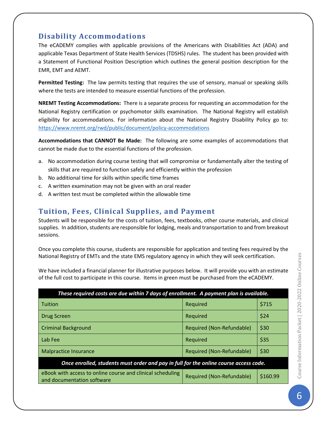## **Disability Accommodations**

The eCADEMY complies with applicable provisions of the Americans with Disabilities Act (ADA) and applicable Texas Department of State Health Services (TDSHS) rules. The student has been provided with a Statement of Functional Position Description which outlines the general position description for the EMR, EMT and AEMT.

**Permitted Testing:** The law permits testing that requires the use of sensory, manual or speaking skills where the tests are intended to measure essential functions of the profession.

**NREMT Testing Accommodations:** There is a separate process for requesting an accommodation for the National Registry certification or psychomotor skills examination. The National Registry will establish eligibility for accommodations. For information about the National Registry Disability Policy go to: <https://www.nremt.org/rwd/public/document/policy-accommodations>

**Accommodations that CANNOT Be Made:** The following are some examples of accommodations that cannot be made due to the essential functions of the profession.

- a. No accommodation during course testing that will compromise or fundamentally alter the testing of skills that are required to function safely and efficiently within the profession
- b. No additional time for skills within specific time frames
- c. A written examination may not be given with an oral reader
- d. A written test must be completed within the allowable time

## **Tuition, Fees, Clinical Supplies, and Payment**

Students will be responsible for the costs of tuition, fees, textbooks, other course materials, and clinical supplies. In addition, students are responsible for lodging, meals and transportation to and from breakout sessions.

Once you complete this course, students are responsible for application and testing fees required by the National Registry of EMTs and the state EMS regulatory agency in which they will seek certification.

We have included a financial planner for illustrative purposes below. It will provide you with an estimate of the full cost to participate in this course. Items in green must be purchased from the eCADEMY.

| These required costs are due within 7 days of enrollment. A payment plan is available.   |                           |          |  |  |  |
|------------------------------------------------------------------------------------------|---------------------------|----------|--|--|--|
| Tuition                                                                                  | Required                  | \$715    |  |  |  |
| Drug Screen                                                                              | Required                  | \$24     |  |  |  |
| <b>Criminal Background</b>                                                               | Required (Non-Refundable) | \$30     |  |  |  |
| Lab Fee                                                                                  | Required                  | \$35     |  |  |  |
| <b>Malpractice Insurance</b>                                                             | Required (Non-Refundable) | \$30     |  |  |  |
| Once enrolled, students must order and pay in full for the online course access code.    |                           |          |  |  |  |
| eBook with access to online course and clinical scheduling<br>and documentation software | Required (Non-Refundable) | \$160.99 |  |  |  |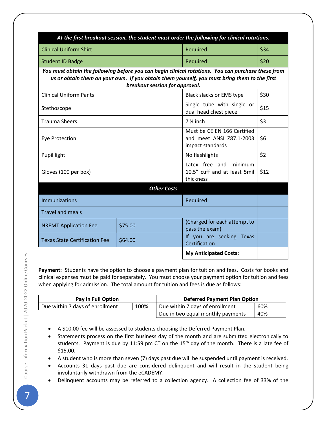| At the first breakout session, the student must order the following for clinical rotations.                                                                                                                                          |  |                                                                             |      |  |  |  |  |
|--------------------------------------------------------------------------------------------------------------------------------------------------------------------------------------------------------------------------------------|--|-----------------------------------------------------------------------------|------|--|--|--|--|
| <b>Clinical Uniform Shirt</b>                                                                                                                                                                                                        |  | Required                                                                    | \$34 |  |  |  |  |
| <b>Student ID Badge</b>                                                                                                                                                                                                              |  | Required                                                                    | \$20 |  |  |  |  |
| You must obtain the following before you can begin clinical rotations. You can purchase these from<br>us or obtain them on your own. If you obtain them yourself, you must bring them to the first<br>breakout session for approval. |  |                                                                             |      |  |  |  |  |
| <b>Clinical Uniform Pants</b>                                                                                                                                                                                                        |  | Black slacks or EMS type                                                    | \$30 |  |  |  |  |
| Stethoscope                                                                                                                                                                                                                          |  | Single tube with single or<br>dual head chest piece                         | \$15 |  |  |  |  |
| <b>Trauma Sheers</b>                                                                                                                                                                                                                 |  | 7 % inch                                                                    | \$3  |  |  |  |  |
| <b>Eye Protection</b>                                                                                                                                                                                                                |  | Must be CE EN 166 Certified<br>and meet ANSI Z87.1-2003<br>impact standards | \$6  |  |  |  |  |
| Pupil light                                                                                                                                                                                                                          |  | No flashlights                                                              | \$2  |  |  |  |  |
| Gloves (100 per box)                                                                                                                                                                                                                 |  | Latex free and minimum<br>10.5" cuff and at least 5mil<br>thickness         | \$12 |  |  |  |  |
| <b>Other Costs</b>                                                                                                                                                                                                                   |  |                                                                             |      |  |  |  |  |
| <b>Immunizations</b>                                                                                                                                                                                                                 |  | Required                                                                    |      |  |  |  |  |
| <b>Travel and meals</b>                                                                                                                                                                                                              |  |                                                                             |      |  |  |  |  |
| \$75.00<br><b>NREMT Application Fee</b>                                                                                                                                                                                              |  | (Charged for each attempt to<br>pass the exam)                              |      |  |  |  |  |
| \$64.00<br><b>Texas State Certification Fee</b>                                                                                                                                                                                      |  | If you are seeking Texas<br>Certification                                   |      |  |  |  |  |
|                                                                                                                                                                                                                                      |  | <b>My Anticipated Costs:</b>                                                |      |  |  |  |  |

**Payment:** Students have the option to choose a payment plan for tuition and fees. Costs for books and clinical expenses must be paid for separately. You must choose your payment option for tuition and fees when applying for admission. The total amount for tuition and fees is due as follows:

| Pay in Full Option              |      | <b>Deferred Payment Plan Option</b> |     |  |
|---------------------------------|------|-------------------------------------|-----|--|
| Due within 7 days of enrollment | 100% | Due within 7 days of enrollment     | 60% |  |
|                                 |      | Due in two equal monthly payments   | 40% |  |

• A \$10.00 fee will be assessed to students choosing the Deferred Payment Plan.

- Statements process on the first business day of the month and are submitted electronically to students. Payment is due by 11:59 pm CT on the 15<sup>th</sup> day of the month. There is a late fee of \$15.00.
- A student who is more than seven (7) days past due will be suspended until payment is received.
- Accounts 31 days past due are considered delinquent and will result in the student being involuntarily withdrawn from the eCADEMY.
- Delinquent accounts may be referred to a collection agency. A collection fee of 33% of the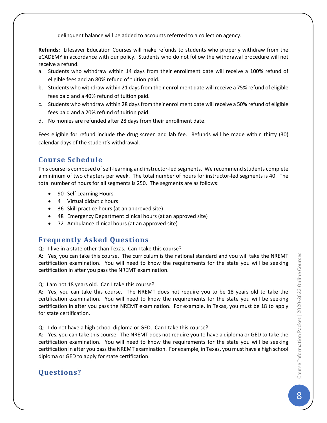delinquent balance will be added to accounts referred to a collection agency.

**Refunds:** Lifesaver Education Courses will make refunds to students who properly withdraw from the eCADEMY in accordance with our policy. Students who do not follow the withdrawal procedure will not receive a refund.

- a. Students who withdraw within 14 days from their enrollment date will receive a 100% refund of eligible fees and an 80% refund of tuition paid.
- b. Students who withdraw within 21 days from their enrollment date will receive a 75% refund of eligible fees paid and a 40% refund of tuition paid.
- c. Students who withdraw within 28 daysfrom their enrollment date will receive a 50% refund of eligible fees paid and a 20% refund of tuition paid.
- d. No monies are refunded after 28 days from their enrollment date.

Fees eligible for refund include the drug screen and lab fee. Refunds will be made within thirty (30) calendar days of the student's withdrawal.

## **Course Schedule**

This course is composed of self-learning and instructor-led segments. We recommend students complete a minimum of two chapters per week. The total number of hours for instructor-led segments is 40. The total number of hours for all segments is 250. The segments are as follows:

- 90 Self Learning Hours
- 4 Virtual didactic hours
- 36 Skill practice hours (at an approved site)
- 48 Emergency Department clinical hours (at an approved site)
- 72 Ambulance clinical hours (at an approved site)

## **Frequently Asked Questions**

Q: I live in a state other than Texas. Can I take this course?

A: Yes, you can take this course. The curriculum is the national standard and you will take the NREMT certification examination. You will need to know the requirements for the state you will be seeking certification in after you pass the NREMT examination.

Q: I am not 18 years old. Can I take this course?

A: Yes, you can take this course. The NREMT does not require you to be 18 years old to take the certification examination. You will need to know the requirements for the state you will be seeking certification in after you pass the NREMT examination. For example, in Texas, you must be 18 to apply for state certification.

Q: I do not have a high school diploma or GED. Can I take this course?

A: Yes, you can take this course. The NREMT does not require you to have a diploma or GED to take the certification examination. You will need to know the requirements for the state you will be seeking certification in after you pass the NREMT examination. For example, in Texas, you must have a high school diploma or GED to apply for state certification.

## **Questions?**